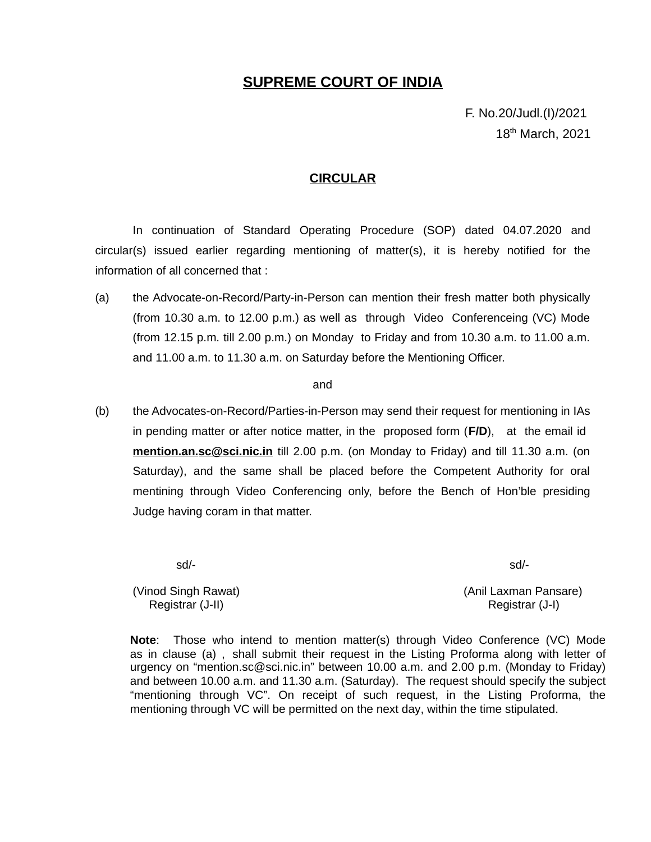## **SUPREME COURT OF INDIA**

F. No.20/Judl.(I)/2021 18<sup>th</sup> March, 2021

### **CIRCULAR**

In continuation of Standard Operating Procedure (SOP) dated 04.07.2020 and circular(s) issued earlier regarding mentioning of matter(s), it is hereby notified for the information of all concerned that :

(a) the Advocate-on-Record/Party-in-Person can mention their fresh matter both physically (from 10.30 a.m. to 12.00 p.m.) as well as through Video Conferenceing (VC) Mode (from 12.15 p.m. till 2.00 p.m.) on Monday to Friday and from 10.30 a.m. to 11.00 a.m. and 11.00 a.m. to 11.30 a.m. on Saturday before the Mentioning Officer.

#### and

(b) the Advocates-on-Record/Parties-in-Person may send their request for mentioning in IAs in pending matter or after notice matter, in the proposed form (**F/D**), at the email id **[mention. an. sc@sci.nic.in](mailto:mention.an.sc@sci.nic.in)** till 2.00 p.m. (on Monday to Friday) and till 11.30 a.m. (on Saturday), and the same shall be placed before the Competent Authority for oral mentining through Video Conferencing only, before the Bench of Hon'ble presiding Judge having coram in that matter.

sd/- sd/-

(Vinod Singh Rawat) (Anil Laxman Pansare) Registrar (J-II) Registrar (J-I)

**Note**: Those who intend to mention matter(s) through Video Conference (VC) Mode as in clause (a) , shall submit their request in the Listing Proforma along with letter of urgency on "mention.sc@sci.nic.in" between 10.00 a.m. and 2.00 p.m. (Monday to Friday) and between 10.00 a.m. and 11.30 a.m. (Saturday). The request should specify the subject "mentioning through VC". On receipt of such request, in the Listing Proforma, the mentioning through VC will be permitted on the next day, within the time stipulated.